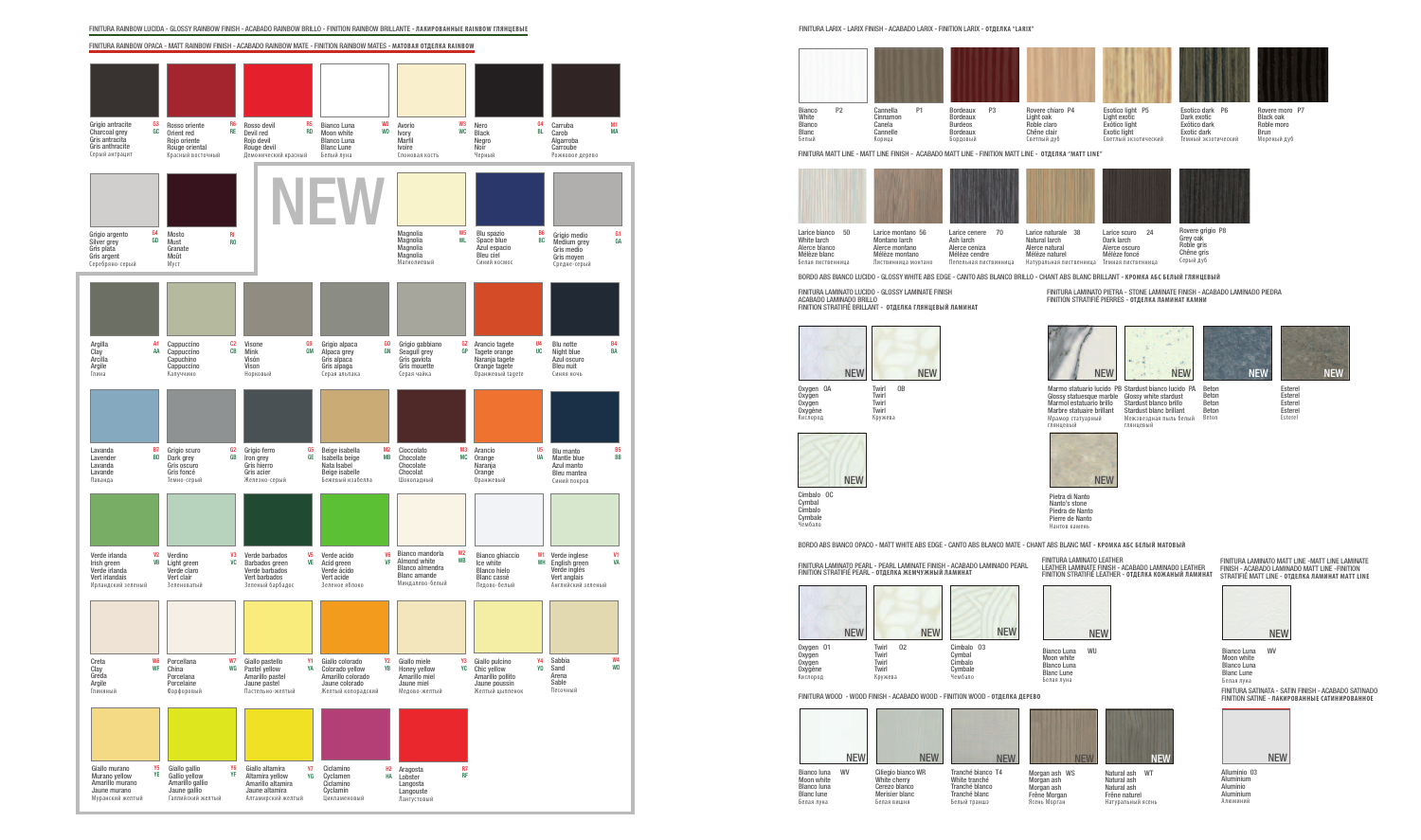FINITURA RAINBOW OPACA - MATT RAINBOW FINISH - ACABADO RAINBOW MATE - FINITION RAINBOW MATES - **МАТОВАЯ ОТДЕЛКА RAINBOW**



FINITURA LARIX - LARIX FINISH - ACABADO LARIX - FINITION LARIX - **ОТДЕЛКА "LARIX"**

Blanc Белый



Morgan ash WS Morgan ash Morgan ash Frêne Morgan Ясень Морга





**Beton** Beton Beton Beton

Esterel Esterel Esterel Esterel Estere

**NEV** 

BORDO ABS BIANCO LUCIDO - GLOSSY WHITE ABS EDGE - CANTO ABS BLANCO BRILLO - CHANT ABS BLANC BRILLANT - **КРОМКА АБС БЕЛЫЙ ГЛЯНЦЕВЫЙ**

FINITURA LAMINATO PIETRA - STONE LAMINATE FINISH - ACABADO LAMINADO PIEDRA

FINITION STRATIFIÉ PIERRES - **ОТДЕЛКА ЛАМИНАТ КАМНИ**

Marmo statuario lucido PB Stardust bianco lucido PA Beton Glossy statuesque marble Marmol estatuario brillo Marbre statuaire brillant Мрамор статуарный глянцевый



Glossy white stardust Stardust blanco brillo Stardust blanc brillant Межзвездная пыль белый глянцевый



Cimbalo OC

Cymbal Cimbalo Cymbale Чембало

FINITURA LAMINATO LUCIDO - GLOSSY LAMINATE FINISH ACABADO LAMINADO BRILLO





NEW



FINITION STRATIFIÉ BRILLANT - **ОТДЕЛКА ГЛЯНЦЕВЫЙ ЛАМИНАТ**

Oxygen **Oxygen** Oxygène Кислород



BORDO ABS BIANCO OPACO - MATT WHITE ABS EDGE - CANTO ABS BLANCO MATE - CHANT ABS BLANC MAT - **КРОМКА АБС БЕЛЫЙ МАТОВЫЙ**

Bianco Luna WV Moon white Blanco Luna Blanc Lune Белая луна

FINITURA LAMINATO MATT LINE -MATT LINE LAMINATE FINISH - ACABADO LAMINADO MATT LINE -FINITION STRATIFIÉ MATT LINE - **ОТДЕЛКА ЛАМИНАТ MATT LINE**



FINITURA LAMINATO LEATHER LEATHER LAMINATE FINISH - ACABADO LAMINADO LEATHER FINITION STRATIFIÉ LEATHER - **ОТДЕЛКА КОЖАНЫЙ ЛАМИНАТ**

Bianco Luna WU Moon white Blanco Luna Blanc Lune Белая луна



FINITURA LAMINATO PEARL - PEARL LAMINATE FINISH - ACABADO LAMINADO PEARL FINITION STRATIFIÉ PEARL - **ОТДЕЛКА ЖЕМЧУ ЖНЫЙ ЛАМИНАТ**



Oxygen Oxygen Oxygène Кислород

FINITURA WOOD - WOOD FINISH - ACABADO WOOD - FINITION WOOD - **ОТДЕЛКА ДЕРЕВО**

Natural ash WT Natural ash Natural ash Frêne naturel Натуральный ясень

Белый траншэ Ciliegio bianco WR White cherry Cerezo blanco Merisier blanc Белая вишня NEW



Bianco luna WV Moon white Blanco luna Blanc lune Белая луна



FINITURA SATINATA - SATIN FINISH - ACABADO SATINADO FINITION SATINE - **ЛАКИРОВАННЫЕ САТИНИРОВАННОЕ**



Alluminio 03 Aluminium Aluminio Aluminium Алюминий

Pietra di Nanto Nanto's stone Piedra de Nanto Pierre de Nanto Нантов камень